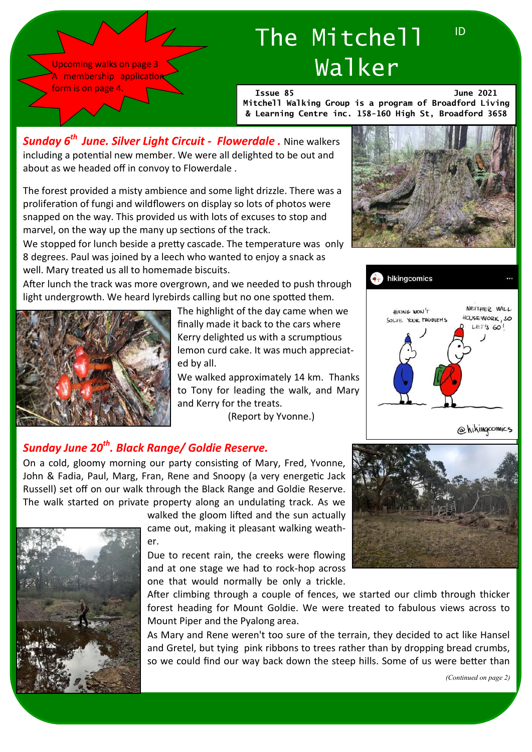

# The Mitchell Walker

**Issue 85 June 2021**

ID

**Mitchell Walking Group is a program of Broadford Living & Learning Centre inc. 158-160 High St, Broadford 3658**

*Sunday 6th June. Silver Light Circuit - Flowerdale .* Nine walkers including a potential new member. We were all delighted to be out and about as we headed off in convoy to Flowerdale .

The forest provided a misty ambience and some light drizzle. There was a proliferation of fungi and wildflowers on display so lots of photos were snapped on the way. This provided us with lots of excuses to stop and marvel, on the way up the many up sections of the track.

We stopped for lunch beside a pretty cascade. The temperature was only 8 degrees. Paul was joined by a leech who wanted to enjoy a snack as well. Mary treated us all to homemade biscuits.

After lunch the track was more overgrown, and we needed to push through light undergrowth. We heard lyrebirds calling but no one spotted them.



The highlight of the day came when we finally made it back to the cars where Kerry delighted us with a scrumptious lemon curd cake. It was much appreciated by all.

We walked approximately 14 km. Thanks to Tony for leading the walk, and Mary and Kerry for the treats.

(Report by Yvonne.)





@hikingcomics

### *Sunday June 20th. Black Range/ Goldie Reserve.*

On a cold, gloomy morning our party consisting of Mary, Fred, Yvonne, John & Fadia, Paul, Marg, Fran, Rene and Snoopy (a very energetic Jack Russell) set off on our walk through the Black Range and Goldie Reserve. The walk started on private property along an undulating track. As we



walked the gloom lifted and the sun actually came out, making it pleasant walking weather.

Due to recent rain, the creeks were flowing and at one stage we had to rock-hop across one that would normally be only a trickle.

After climbing through a couple of fences, we started our climb through thicker forest heading for Mount Goldie. We were treated to fabulous views across to Mount Piper and the Pyalong area.

As Mary and Rene weren't too sure of the terrain, they decided to act like Hansel and Gretel, but tying pink ribbons to trees rather than by dropping bread crumbs, so we could find our way back down the steep hills. Some of us were better than

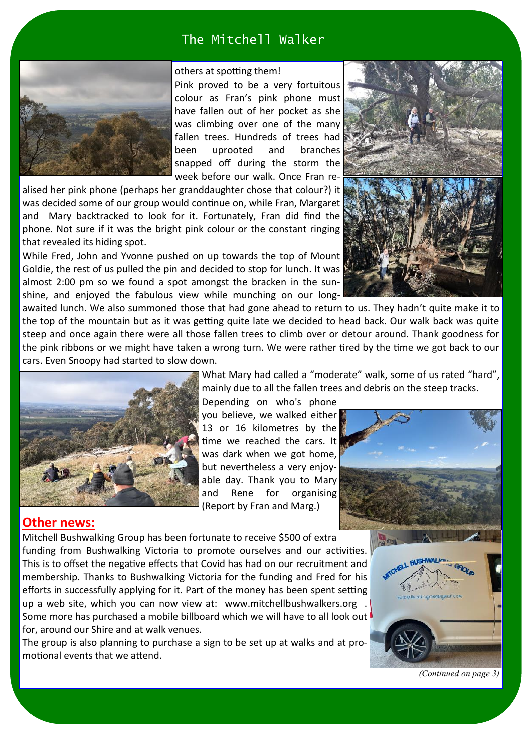### The Mitchell Walker



#### others at spotting them!

Pink proved to be a very fortuitous colour as Fran's pink phone must have fallen out of her pocket as she was climbing over one of the many fallen trees. Hundreds of trees had been uprooted and branches snapped off during the storm the week before our walk. Once Fran re-

alised her pink phone (perhaps her granddaughter chose that colour?) it was decided some of our group would continue on, while Fran, Margaret and Mary backtracked to look for it. Fortunately, Fran did find the phone. Not sure if it was the bright pink colour or the constant ringing that revealed its hiding spot.

While Fred, John and Yvonne pushed on up towards the top of Mount Goldie, the rest of us pulled the pin and decided to stop for lunch. It was almost 2:00 pm so we found a spot amongst the bracken in the sunshine, and enjoyed the fabulous view while munching on our long-



awaited lunch. We also summoned those that had gone ahead to return to us. They hadn't quite make it to the top of the mountain but as it was getting quite late we decided to head back. Our walk back was quite steep and once again there were all those fallen trees to climb over or detour around. Thank goodness for the pink ribbons or we might have taken a wrong turn. We were rather tired by the time we got back to our cars. Even Snoopy had started to slow down.



What Mary had called a "moderate" walk, some of us rated "hard", mainly due to all the fallen trees and debris on the steep tracks.

Depending on who's phone you believe, we walked either 13 or 16 kilometres by the time we reached the cars. It was dark when we got home, but nevertheless a very enjoyable day. Thank you to Mary and Rene for organising (Report by Fran and Marg.)



#### **Other news:**

Mitchell Bushwalking Group has been fortunate to receive \$500 of extra funding from Bushwalking Victoria to promote ourselves and our activities. This is to offset the negative effects that Covid has had on our recruitment and membership. Thanks to Bushwalking Victoria for the funding and Fred for his efforts in successfully applying for it. Part of the money has been spent setting up a web site, which you can now view at: www.mitchellbushwalkers.org . Some more has purchased a mobile billboard which we will have to all look out for, around our Shire and at walk venues.

The group is also planning to purchase a sign to be set up at walks and at promotional events that we attend.



*(Continued on page 3)*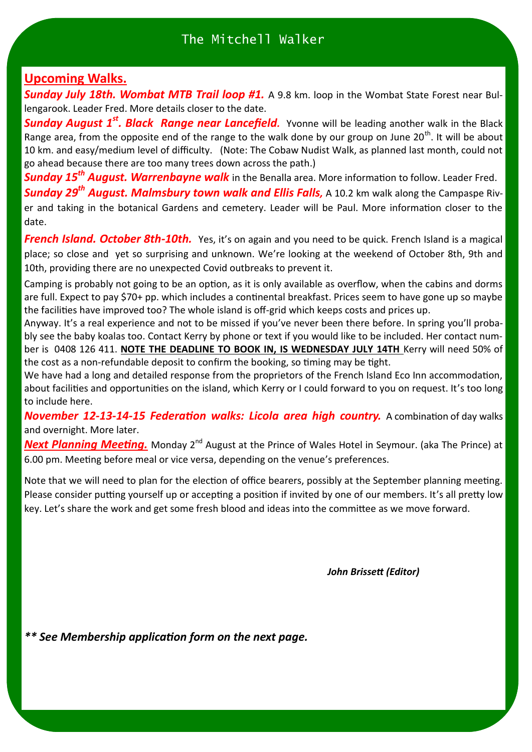### **Upcoming Walks.**

*Sunday July 18th. Wombat MTB Trail loop #1.* A 9.8 km. loop in the Wombat State Forest near Bullengarook. Leader Fred. More details closer to the date.

**Sunday August 1<sup>st</sup>. Black Range near Lancefield.** Yvonne will be leading another walk in the Black Range area, from the opposite end of the range to the walk done by our group on June 20<sup>th</sup>. It will be about 10 km. and easy/medium level of difficulty. (Note: The Cobaw Nudist Walk, as planned last month, could not go ahead because there are too many trees down across the path.)

*Sunday 15th August. Warrenbayne walk* in the Benalla area. More information to follow. Leader Fred. *Sunday 29th August. Malmsbury town walk and Ellis Falls,* A 10.2 km walk along the Campaspe River and taking in the botanical Gardens and cemetery. Leader will be Paul. More information closer to the date.

**French Island. October 8th-10th.** Yes, it's on again and you need to be quick. French Island is a magical place; so close and yet so surprising and unknown. We're looking at the weekend of October 8th, 9th and 10th, providing there are no unexpected Covid outbreaks to prevent it.

Camping is probably not going to be an option, as it is only available as overflow, when the cabins and dorms are full. Expect to pay \$70+ pp. which includes a continental breakfast. Prices seem to have gone up so maybe the facilities have improved too? The whole island is off-grid which keeps costs and prices up.

Anyway. It's a real experience and not to be missed if you've never been there before. In spring you'll probably see the baby koalas too. Contact Kerry by phone or text if you would like to be included. Her contact number is 0408 126 411. **NOTE THE DEADLINE TO BOOK IN, IS WEDNESDAY JULY 14TH** Kerry will need 50% of the cost as a non-refundable deposit to confirm the booking, so timing may be tight.

We have had a long and detailed response from the proprietors of the French Island Eco Inn accommodation, about facilities and opportunities on the island, which Kerry or I could forward to you on request. It's too long to include here.

*November 12-13-14-15 Federation walks: Licola area high country.* A combination of day walks and overnight. More later.

**Next Planning Meeting.** Monday 2<sup>nd</sup> August at the Prince of Wales Hotel in Seymour. (aka The Prince) at 6.00 pm. Meeting before meal or vice versa, depending on the venue's preferences.

Note that we will need to plan for the election of office bearers, possibly at the September planning meeting. Please consider putting yourself up or accepting a position if invited by one of our members. It's all pretty low key. Let's share the work and get some fresh blood and ideas into the committee as we move forward.

*John Brissett (Editor)* 

*\*\* See Membership application form on the next page.*